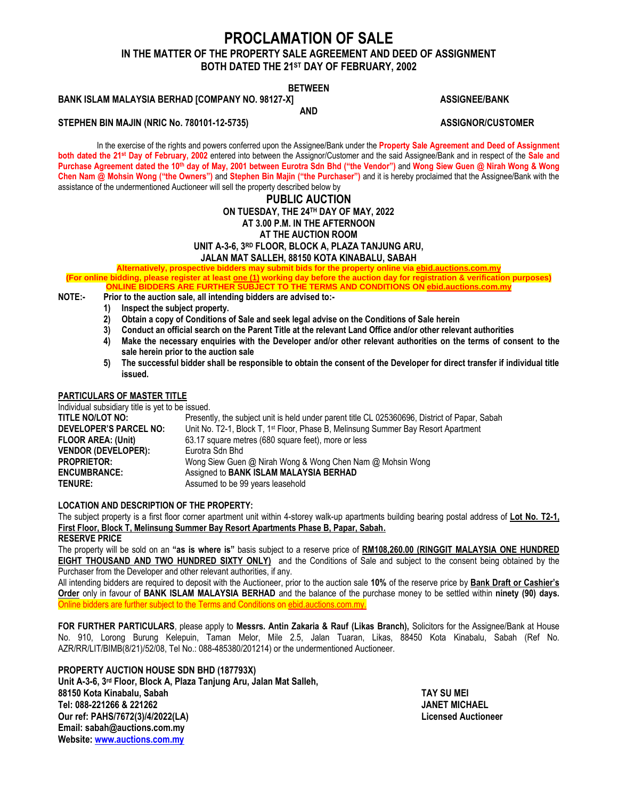# **PROCLAMATION OF SALE**

**IN THE MATTER OF THE PROPERTY SALE AGREEMENT AND DEED OF ASSIGNMENT BOTH DATED THE 21ST DAY OF FEBRUARY, 2002**

**BETWEEN**

#### BANK ISLAM MALAYSIA BERHAD [COMPANY NO. 98127-X] **ASSIGNEE/BANK AND**

**STEPHEN BIN MAJIN (NRIC No. 780101-12-5735)** ASSIGNOR/CUSTOMER

In the exercise of the rights and powers conferred upon the Assignee/Bank under the **Property Sale Agreement and Deed of Assignment both dated the 21st Day of February, 2002** entered into between the Assignor/Customer and the said Assignee/Bank and in respect of the **Sale and Purchase Agreement dated the 10th day of May, 2001 between Eurotra Sdn Bhd ("the Vendor")** and **Wong Siew Guen @ Nirah Wong & Wong Chen Nam @ Mohsin Wong ("the Owners")** and **Stephen Bin Majin ("the Purchaser")** and it is hereby proclaimed that the Assignee/Bank with the assistance of the undermentioned Auctioneer will sell the property described below by

# **PUBLIC AUCTION**

**ON TUESDAY, THE 24 TH DAY OF MAY, 2022**

## **AT 3.00 P.M. IN THE AFTERNOON**

## **AT THE AUCTION ROOM**

# **UNIT A-3-6, 3RD FLOOR, BLOCK A, PLAZA TANJUNG ARU,**

**JALAN MAT SALLEH, 88150 KOTA KINABALU, SABAH** 

**Alternatively, prospective bidders may submit bids for the property online via ebid.auctions.com.my (For online bidding, please register at least one (1) working day before the auction day for registration & verification purposes) ONLINE BIDDERS ARE FURTHER SUBJECT TO THE TERMS AND CONDITIONS ON [ebid.auctions.com.my](http://www.ebid.auctions.com.my/)**

**NOTE:- Prior to the auction sale, all intending bidders are advised to:-**

- **1) Inspect the subject property.**
- **2) Obtain a copy of Conditions of Sale and seek legal advise on the Conditions of Sale herein**
- **3) Conduct an official search on the Parent Title at the relevant Land Office and/or other relevant authorities**
- **4) Make the necessary enquiries with the Developer and/or other relevant authorities on the terms of consent to the sale herein prior to the auction sale**
- **5) The successful bidder shall be responsible to obtain the consent of the Developer for direct transfer if individual title issued.**

# **PARTICULARS OF MASTER TITLE**

Individual subsidiary title is yet to be issued.

| TITLE NO/LOT NO:           | Presently, the subject unit is held under parent title CL 025360696, District of Papar, Sabah |
|----------------------------|-----------------------------------------------------------------------------------------------|
| DEVELOPER'S PARCEL NO:     | Unit No. T2-1, Block T, 1 <sup>st</sup> Floor, Phase B, Melinsung Summer Bay Resort Apartment |
| <b>FLOOR AREA: (Unit)</b>  | 63.17 square metres (680 square feet), more or less                                           |
| <b>VENDOR (DEVELOPER):</b> | Eurotra Sdn Bhd                                                                               |
| <b>PROPRIETOR:</b>         | Wong Siew Guen @ Nirah Wong & Wong Chen Nam @ Mohsin Wong                                     |
| <b>ENCUMBRANCE:</b>        | Assigned to BANK ISLAM MALAYSIA BERHAD                                                        |
| TENURE:                    | Assumed to be 99 years leasehold                                                              |

# **LOCATION AND DESCRIPTION OF THE PROPERTY:**

The subject property is a first floor corner apartment unit within 4-storey walk-up apartments building bearing postal address of **Lot No. T2-1, First Floor, Block T, Melinsung Summer Bay Resort Apartments Phase B, Papar, Sabah.**

**RESERVE PRICE**

The property will be sold on an **"as is where is"** basis subject to a reserve price of **RM108,260.00 (RINGGIT MALAYSIA ONE HUNDRED EIGHT THOUSAND AND TWO HUNDRED SIXTY ONLY)** and the Conditions of Sale and subject to the consent being obtained by the Purchaser from the Developer and other relevant authorities, if any.

All intending bidders are required to deposit with the Auctioneer, prior to the auction sale **10%** of the reserve price by **Bank Draft or Cashier's Order** only in favour of **BANK ISLAM MALAYSIA BERHAD** and the balance of the purchase money to be settled within **ninety (90) days.**  Online bidders are further subject to the Terms and Conditions on ebid.auctions.com.my.

**FOR FURTHER PARTICULARS**, please apply to **Messrs. Antin Zakaria & Rauf (Likas Branch),** Solicitors for the Assignee/Bank at House No. 910, Lorong Burung Kelepuin, Taman Melor, Mile 2.5, Jalan Tuaran, Likas, 88450 Kota Kinabalu, Sabah (Ref No. AZR/RR/LIT/BIMB(8/21)/52/08, Tel No.: 088-485380/201214) or the undermentioned Auctioneer.

**PROPERTY AUCTION HOUSE SDN BHD (187793X) Unit A-3-6, 3rd Floor, Block A, Plaza Tanjung Aru, Jalan Mat Salleh, 88150 Kota Kinabalu, Sabah TAY SU MEI Tel: 088-221266 & 221262 JANET MICHAEL Our ref: PAHS/7672(3)/4/2022(LA) Licensed Auctioneer Email: sabah@auctions.com.my Website: [www.auctions.com.my](http://www.auctions.com.my/)**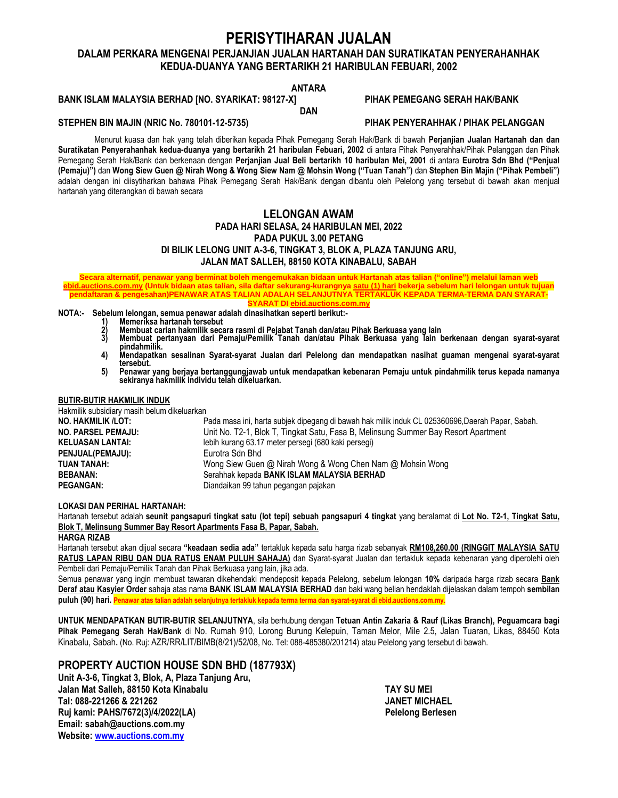# **PERISYTIHARAN JUALAN**

# **DALAM PERKARA MENGENAI PERJANJIAN JUALAN HARTANAH DAN SURATIKATAN PENYERAHANHAK KEDUA-DUANYA YANG BERTARIKH 21 HARIBULAN FEBUARI, 2002**

# **ANTARA**

#### **BANK ISLAM MALAYSIA BERHAD [NO. SYARIKAT: 98127-X] PIHAK PEMEGANG SERAH HAK/BANK DAN**

### **STEPHEN BIN MAJIN (NRIC No. 780101-12-5735) PIHAK PENYERAHHAK / PIHAK PELANGGAN**

Menurut kuasa dan hak yang telah diberikan kepada Pihak Pemegang Serah Hak/Bank di bawah **Perjanjian Jualan Hartanah dan dan Suratikatan Penyerahanhak kedua-duanya yang bertarikh 21 haribulan Febuari, 2002** di antara Pihak Penyerahhak/Pihak Pelanggan dan Pihak Pemegang Serah Hak/Bank dan berkenaan dengan **Perjanjian Jual Beli bertarikh 10 haribulan Mei, 2001** di antara **Eurotra Sdn Bhd ("Penjual (Pemaju)")** dan **Wong Siew Guen @ Nirah Wong & Wong Siew Nam @ Mohsin Wong ("Tuan Tanah")** dan **Stephen Bin Majin ("Pihak Pembeli")** adalah dengan ini diisytiharkan bahawa Pihak Pemegang Serah Hak/Bank dengan dibantu oleh Pelelong yang tersebut di bawah akan menjual hartanah yang diterangkan di bawah secara

# **LELONGAN AWAM**

# **PADA HARI SELASA, 24 HARIBULAN MEI, 2022 PADA PUKUL 3.00 PETANG DI BILIK LELONG UNIT A-3-6, TINGKAT 3, BLOK A, PLAZA TANJUNG ARU, JALAN MAT SALLEH, 88150 KOTA KINABALU, SABAH**

**Secara alternatif, penawar yang berminat boleh mengemukakan bidaan untuk Hartanah atas talian ("online") melalui laman web [ebid.auctions.com.my](http://www.ebid.auctions.com.my/) (Untuk bidaan atas talian, sila daftar sekurang-kurangnya satu (1) hari bekerja sebelum hari lelongan untuk tujuan pendaftaran & pengesahan)PENAWAR ATAS TALIAN ADALAH SELANJUTNYA TERTAKLUK KEPADA TERMA-TERMA DAN SYARAT-SYARAT DI [ebid.auctions.com.my](http://www.ebid.auctions.com.my/)**

**NOTA:- Sebelum lelongan, semua penawar adalah dinasihatkan seperti berikut:-**

- **1) Memeriksa hartanah tersebut**
	- **2) Membuat carian hakmilik secara rasmi di Pejabat Tanah dan/atau Pihak Berkuasa yang lain**
	- **3) Membuat pertanyaan dari Pemaju/Pemilik Tanah dan/atau Pihak Berkuasa yang lain berkenaan dengan syarat-syarat pindahmilik.**
	- **4) Mendapatkan sesalinan Syarat-syarat Jualan dari Pelelong dan mendapatkan nasihat guaman mengenai syarat-syarat tersebut.**
	- **5) Penawar yang berjaya bertanggungjawab untuk mendapatkan kebenaran Pemaju untuk pindahmilik terus kepada namanya sekiranya hakmilik individu telah dikeluarkan.**

#### **BUTIR-BUTIR HAKMILIK INDUK**

Hakmilik subsidiary masih belum dikeluarkan

| <b>NO. HAKMILIK /LOT:</b> | Pada masa ini, harta subjek dipegang di bawah hak milik induk CL 025360696, Daerah Papar, Sabah. |  |  |
|---------------------------|--------------------------------------------------------------------------------------------------|--|--|
| <b>NO. PARSEL PEMAJU:</b> | Unit No. T2-1, Blok T, Tingkat Satu, Fasa B, Melinsung Summer Bay Resort Apartment               |  |  |
| <b>KELUASAN LANTAI:</b>   | lebih kurang 63.17 meter persegi (680 kaki persegi)                                              |  |  |
| PENJUAL(PEMAJU):          | Eurotra Sdn Bhd                                                                                  |  |  |
| TUAN TANAH:               | Wong Siew Guen @ Nirah Wong & Wong Chen Nam @ Mohsin Wong                                        |  |  |
| <b>BEBANAN:</b>           | Serahhak kepada BANK ISLAM MALAYSIA BERHAD                                                       |  |  |
| <b>PEGANGAN:</b>          | Diandaikan 99 tahun pegangan pajakan                                                             |  |  |

#### **LOKASI DAN PERIHAL HARTANAH:**

Hartanah tersebut adalah **seunit pangsapuri tingkat satu (lot tepi) sebuah pangsapuri 4 tingkat** yang beralamat di **Lot No. T2-1, Tingkat Satu, Blok T, Melinsung Summer Bay Resort Apartments Fasa B, Papar, Sabah.**

**HARGA RIZAB**

Hartanah tersebut akan dijual secara **"keadaan sedia ada"** tertakluk kepada satu harga rizab sebanyak **RM108,260.00 (RINGGIT MALAYSIA SATU RATUS LAPAN RIBU DAN DUA RATUS ENAM PULUH SAHAJA)** dan Syarat-syarat Jualan dan tertakluk kepada kebenaran yang diperolehi oleh Pembeli dari Pemaju/Pemilik Tanah dan Pihak Berkuasa yang lain, jika ada.

Semua penawar yang ingin membuat tawaran dikehendaki mendeposit kepada Pelelong, sebelum lelongan **10%** daripada harga rizab secara **Bank Deraf atau Kasyier Order** sahaja atas nama **BANK ISLAM MALAYSIA BERHAD** dan baki wang belian hendaklah dijelaskan dalam tempoh **sembilan puluh (90) hari. Penawar atas talian adalah selanjutnya tertakluk kepada terma terma dan syarat-syarat di ebid.auctions.com.my.**

**UNTUK MENDAPATKAN BUTIR-BUTIR SELANJUTNYA**, sila berhubung dengan **Tetuan Antin Zakaria & Rauf (Likas Branch), Peguamcara bagi Pihak Pemegang Serah Hak/Bank** di No. Rumah 910, Lorong Burung Kelepuin, Taman Melor, Mile 2.5, Jalan Tuaran, Likas, 88450 Kota Kinabalu, Sabah**.** (No. Ruj: AZR/RR/LIT/BIMB(8/21)/52/08, No. Tel: 088-485380/201214) atau Pelelong yang tersebut di bawah.

# **PROPERTY AUCTION HOUSE SDN BHD (187793X)**

**Unit A-3-6, Tingkat 3, Blok, A, Plaza Tanjung Aru, Jalan Mat Salleh, 88150 Kota Kinabalu TAY SU MEI Tal: 088-221266 & 221262 JANET MICHAEL Ruj kami: PAHS/7672(3)/4/2022(LA) Pelelong Berlesen Email: sabah@auctions.com.my Website: [www.auctions.com.my](http://www.auctions.com.my/)**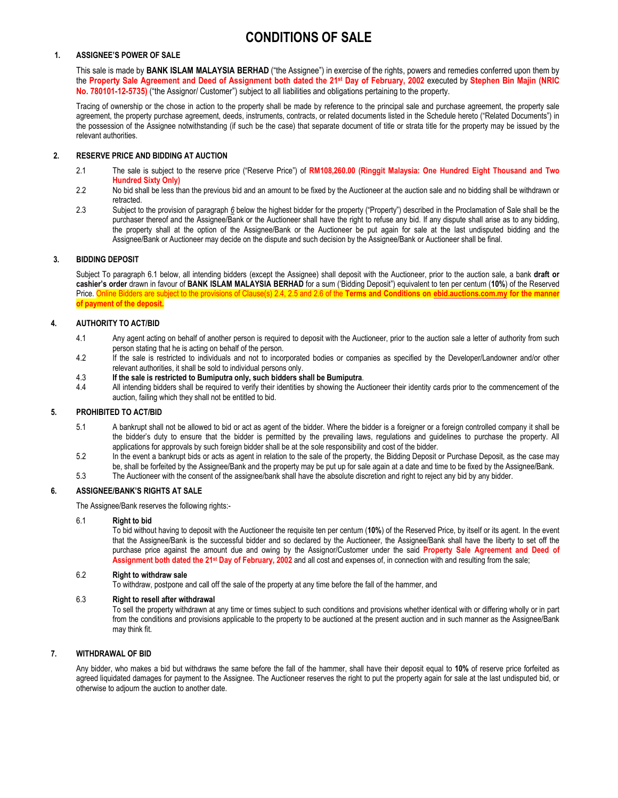# **CONDITIONS OF SALE**

# **1. ASSIGNEE'S POWER OF SALE**

This sale is made by **BANK ISLAM MALAYSIA BERHAD** ("the Assignee") in exercise of the rights, powers and remedies conferred upon them by the **Property Sale Agreement and Deed of Assignment both dated the 21st Day of February, 2002** executed by **Stephen Bin Majin (NRIC No. 780101-12-5735)** ("the Assignor/ Customer") subject to all liabilities and obligations pertaining to the property.

Tracing of ownership or the chose in action to the property shall be made by reference to the principal sale and purchase agreement, the property sale agreement, the property purchase agreement, deeds, instruments, contracts, or related documents listed in the Schedule hereto ("Related Documents") in the possession of the Assignee notwithstanding (if such be the case) that separate document of title or strata title for the property may be issued by the relevant authorities.

## **2. RESERVE PRICE AND BIDDING AT AUCTION**

- 2.1 The sale is subject to the reserve price ("Reserve Price") of **RM108,260.00 (Ringgit Malaysia: One Hundred Eight Thousand and Two Hundred Sixty Only)**
- 2.2 No bid shall be less than the previous bid and an amount to be fixed by the Auctioneer at the auction sale and no bidding shall be withdrawn or retracted.
- 2.3 Subject to the provision of paragraph *6* below the highest bidder for the property ("Property") described in the Proclamation of Sale shall be the purchaser thereof and the Assignee/Bank or the Auctioneer shall have the right to refuse any bid. If any dispute shall arise as to any bidding, the property shall at the option of the Assignee/Bank or the Auctioneer be put again for sale at the last undisputed bidding and the Assignee/Bank or Auctioneer may decide on the dispute and such decision by the Assignee/Bank or Auctioneer shall be final.

#### **3. BIDDING DEPOSIT**

Subject To paragraph 6.1 below, all intending bidders (except the Assignee) shall deposit with the Auctioneer, prior to the auction sale, a bank **draft or cashier's order** drawn in favour of **BANK ISLAM MALAYSIA BERHAD** for a sum ('Bidding Deposit") equivalent to ten per centum (**10%**) of the Reserved Price. Online Bidders are subject to the provisions of Clause(s) 2.4, 2.5 and 2.6 of the **Terms and Conditions on ebid.auctions.com.my for the manner of payment of the deposit.**

#### **4. AUTHORITY TO ACT/BID**

- 4.1 Any agent acting on behalf of another person is required to deposit with the Auctioneer, prior to the auction sale a letter of authority from such person stating that he is acting on behalf of the person.
- 4.2 If the sale is restricted to individuals and not to incorporated bodies or companies as specified by the Developer/Landowner and/or other relevant authorities, it shall be sold to individual persons only.
- 4.3 **If the sale is restricted to Bumiputra only, such bidders shall be Bumiputra**.
- 4.4 All intending bidders shall be required to verify their identities by showing the Auctioneer their identity cards prior to the commencement of the auction, failing which they shall not be entitled to bid.

#### **5. PROHIBITED TO ACT/BID**

- 5.1 A bankrupt shall not be allowed to bid or act as agent of the bidder. Where the bidder is a foreigner or a foreign controlled company it shall be the bidder's duty to ensure that the bidder is permitted by the prevailing laws, regulations and guidelines to purchase the property. All applications for approvals by such foreign bidder shall be at the sole responsibility and cost of the bidder.
- 5.2 In the event a bankrupt bids or acts as agent in relation to the sale of the property, the Bidding Deposit or Purchase Deposit, as the case may be, shall be forfeited by the Assignee/Bank and the property may be put up for sale again at a date and time to be fixed by the Assignee/Bank.
- 5.3 The Auctioneer with the consent of the assignee/bank shall have the absolute discretion and right to reject any bid by any bidder.

### **6. ASSIGNEE/BANK'S RIGHTS AT SALE**

The Assignee/Bank reserves the following rights:-

#### 6.1 **Right to bid**

To bid without having to deposit with the Auctioneer the requisite ten per centum (**10%**) of the Reserved Price, by itself or its agent. In the event that the Assignee/Bank is the successful bidder and so declared by the Auctioneer, the Assignee/Bank shall have the liberty to set off the purchase price against the amount due and owing by the Assignor/Customer under the said **Property Sale Agreement and Deed of Assignment both dated the 21st Day of February, 2002** and all cost and expenses of, in connection with and resulting from the sale;

#### 6.2 **Right to withdraw sale**

To withdraw, postpone and call off the sale of the property at any time before the fall of the hammer, and

#### 6.3 **Right to resell after withdrawal**

To sell the property withdrawn at any time or times subject to such conditions and provisions whether identical with or differing wholly or in part from the conditions and provisions applicable to the property to be auctioned at the present auction and in such manner as the Assignee/Bank may think fit.

#### **7. WITHDRAWAL OF BID**

Any bidder, who makes a bid but withdraws the same before the fall of the hammer, shall have their deposit equal to **10%** of reserve price forfeited as agreed liquidated damages for payment to the Assignee. The Auctioneer reserves the right to put the property again for sale at the last undisputed bid, or otherwise to adjourn the auction to another date.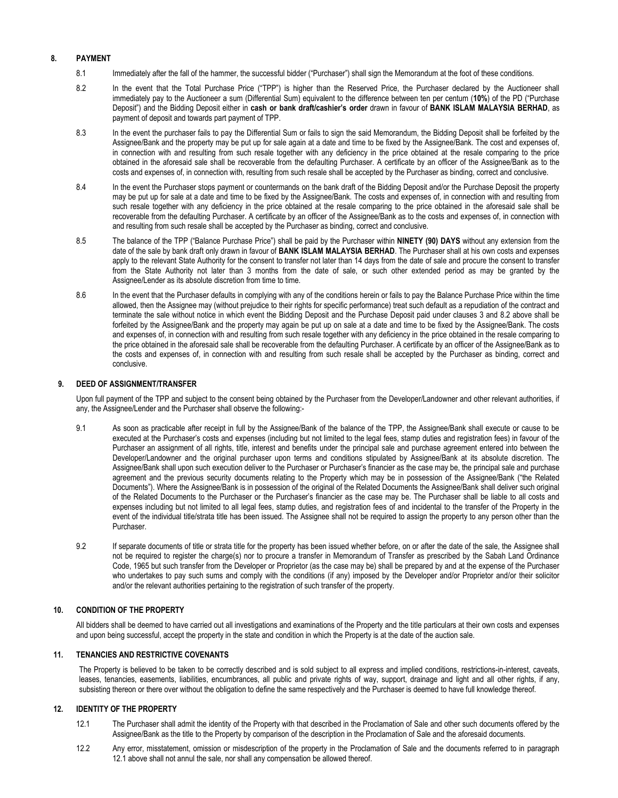#### **8. PAYMENT**

- 8.1 Immediately after the fall of the hammer, the successful bidder ("Purchaser") shall sign the Memorandum at the foot of these conditions.
- 8.2 In the event that the Total Purchase Price ("TPP") is higher than the Reserved Price, the Purchaser declared by the Auctioneer shall immediately pay to the Auctioneer a sum (Differential Sum) equivalent to the difference between ten per centum (**10%**) of the PD ("Purchase Deposit") and the Bidding Deposit either in **cash or bank draft/cashier's order** drawn in favour of **BANK ISLAM MALAYSIA BERHAD**, as payment of deposit and towards part payment of TPP.
- 8.3 In the event the purchaser fails to pay the Differential Sum or fails to sign the said Memorandum, the Bidding Deposit shall be forfeited by the Assignee/Bank and the property may be put up for sale again at a date and time to be fixed by the Assignee/Bank. The cost and expenses of, in connection with and resulting from such resale together with any deficiency in the price obtained at the resale comparing to the price obtained in the aforesaid sale shall be recoverable from the defaulting Purchaser. A certificate by an officer of the Assignee/Bank as to the costs and expenses of, in connection with, resulting from such resale shall be accepted by the Purchaser as binding, correct and conclusive.
- 8.4 In the event the Purchaser stops payment or countermands on the bank draft of the Bidding Deposit and/or the Purchase Deposit the property may be put up for sale at a date and time to be fixed by the Assignee/Bank. The costs and expenses of, in connection with and resulting from such resale together with any deficiency in the price obtained at the resale comparing to the price obtained in the aforesaid sale shall be recoverable from the defaulting Purchaser. A certificate by an officer of the Assignee/Bank as to the costs and expenses of, in connection with and resulting from such resale shall be accepted by the Purchaser as binding, correct and conclusive.
- 8.5 The balance of the TPP ("Balance Purchase Price") shall be paid by the Purchaser within **NINETY (90) DAYS** without any extension from the date of the sale by bank draft only drawn in favour of **BANK ISLAM MALAYSIA BERHAD**. The Purchaser shall at his own costs and expenses apply to the relevant State Authority for the consent to transfer not later than 14 days from the date of sale and procure the consent to transfer from the State Authority not later than 3 months from the date of sale, or such other extended period as may be granted by the Assignee/Lender as its absolute discretion from time to time.
- 8.6 In the event that the Purchaser defaults in complying with any of the conditions herein or fails to pay the Balance Purchase Price within the time allowed, then the Assignee may (without prejudice to their rights for specific performance) treat such default as a repudiation of the contract and terminate the sale without notice in which event the Bidding Deposit and the Purchase Deposit paid under clauses 3 and 8.2 above shall be forfeited by the Assignee/Bank and the property may again be put up on sale at a date and time to be fixed by the Assignee/Bank. The costs and expenses of, in connection with and resulting from such resale together with any deficiency in the price obtained in the resale comparing to the price obtained in the aforesaid sale shall be recoverable from the defaulting Purchaser. A certificate by an officer of the Assignee/Bank as to the costs and expenses of, in connection with and resulting from such resale shall be accepted by the Purchaser as binding, correct and conclusive.

#### **9. DEED OF ASSIGNMENT/TRANSFER**

Upon full payment of the TPP and subject to the consent being obtained by the Purchaser from the Developer/Landowner and other relevant authorities, if any, the Assignee/Lender and the Purchaser shall observe the following:-

- 9.1 As soon as practicable after receipt in full by the Assignee/Bank of the balance of the TPP, the Assignee/Bank shall execute or cause to be executed at the Purchaser's costs and expenses (including but not limited to the legal fees, stamp duties and registration fees) in favour of the Purchaser an assignment of all rights, title, interest and benefits under the principal sale and purchase agreement entered into between the Developer/Landowner and the original purchaser upon terms and conditions stipulated by Assignee/Bank at its absolute discretion. The Assignee/Bank shall upon such execution deliver to the Purchaser or Purchaser's financier as the case may be, the principal sale and purchase agreement and the previous security documents relating to the Property which may be in possession of the Assignee/Bank ("the Related Documents"). Where the Assignee/Bank is in possession of the original of the Related Documents the Assignee/Bank shall deliver such original of the Related Documents to the Purchaser or the Purchaser's financier as the case may be. The Purchaser shall be liable to all costs and expenses including but not limited to all legal fees, stamp duties, and registration fees of and incidental to the transfer of the Property in the event of the individual title/strata title has been issued. The Assignee shall not be required to assign the property to any person other than the Purchaser.
- 9.2 If separate documents of title or strata title for the property has been issued whether before, on or after the date of the sale, the Assignee shall not be required to register the charge(s) nor to procure a transfer in Memorandum of Transfer as prescribed by the Sabah Land Ordinance Code, 1965 but such transfer from the Developer or Proprietor (as the case may be) shall be prepared by and at the expense of the Purchaser who undertakes to pay such sums and comply with the conditions (if any) imposed by the Developer and/or Proprietor and/or their solicitor and/or the relevant authorities pertaining to the registration of such transfer of the property.

#### **10. CONDITION OF THE PROPERTY**

All bidders shall be deemed to have carried out all investigations and examinations of the Property and the title particulars at their own costs and expenses and upon being successful, accept the property in the state and condition in which the Property is at the date of the auction sale.

#### **11***.* **TENANCIES AND RESTRICTIVE COVENANTS**

The Property is believed to be taken to be correctly described and is sold subject to all express and implied conditions, restrictions-in-interest, caveats, leases, tenancies, easements, liabilities, encumbrances, all public and private rights of way, support, drainage and light and all other rights, if any, subsisting thereon or there over without the obligation to define the same respectively and the Purchaser is deemed to have full knowledge thereof.

#### **12***.* **IDENTITY OF THE PROPERTY**

- 12.1 The Purchaser shall admit the identity of the Property with that described in the Proclamation of Sale and other such documents offered by the Assignee/Bank as the title to the Property by comparison of the description in the Proclamation of Sale and the aforesaid documents.
- 12.2 Any error, misstatement, omission or misdescription of the property in the Proclamation of Sale and the documents referred to in paragraph 12.1 above shall not annul the sale, nor shall any compensation be allowed thereof.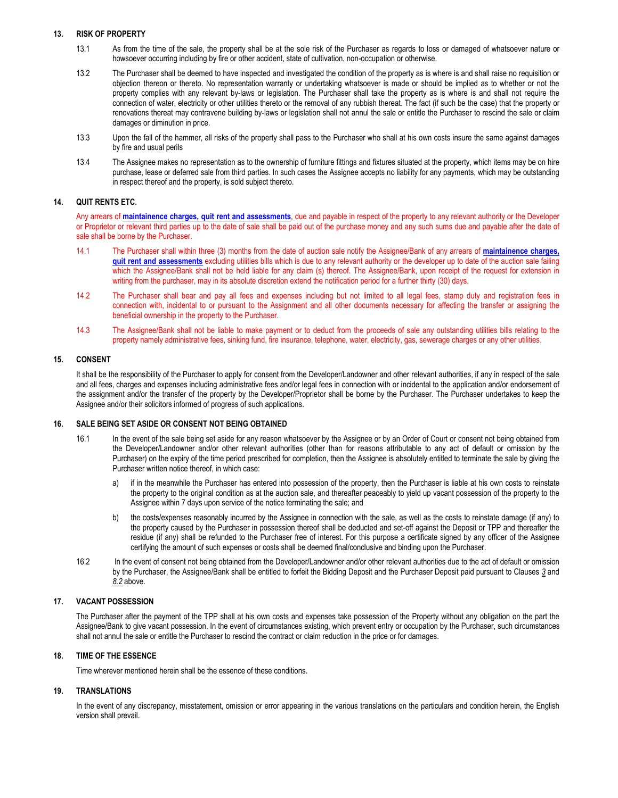#### **13. RISK OF PROPERTY**

- 13.1 As from the time of the sale, the property shall be at the sole risk of the Purchaser as regards to loss or damaged of whatsoever nature or howsoever occurring including by fire or other accident, state of cultivation, non-occupation or otherwise.
- 13.2 The Purchaser shall be deemed to have inspected and investigated the condition of the property as is where is and shall raise no requisition or objection thereon or thereto. No representation warranty or undertaking whatsoever is made or should be implied as to whether or not the property complies with any relevant by-laws or legislation. The Purchaser shall take the property as is where is and shall not require the connection of water, electricity or other utilities thereto or the removal of any rubbish thereat. The fact (if such be the case) that the property or renovations thereat may contravene building by-laws or legislation shall not annul the sale or entitle the Purchaser to rescind the sale or claim damages or diminution in price.
- 13.3 Upon the fall of the hammer, all risks of the property shall pass to the Purchaser who shall at his own costs insure the same against damages by fire and usual perils
- 13.4 The Assignee makes no representation as to the ownership of furniture fittings and fixtures situated at the property, which items may be on hire purchase, lease or deferred sale from third parties. In such cases the Assignee accepts no liability for any payments, which may be outstanding in respect thereof and the property, is sold subject thereto.

#### **14. QUIT RENTS ETC.**

Any arrears of **maintainence charges, quit rent and assessments**, due and payable in respect of the property to any relevant authority or the Developer or Proprietor or relevant third parties up to the date of sale shall be paid out of the purchase money and any such sums due and payable after the date of sale shall be borne by the Purchaser.

- 14.1 The Purchaser shall within three (3) months from the date of auction sale notify the Assignee/Bank of any arrears of **maintainence charges, quit rent and assessments** excluding utilities bills which is due to any relevant authority or the developer up to date of the auction sale failing which the Assignee/Bank shall not be held liable for any claim (s) thereof. The Assignee/Bank, upon receipt of the request for extension in writing from the purchaser, may in its absolute discretion extend the notification period for a further thirty (30) days.
- 14.2 The Purchaser shall bear and pay all fees and expenses including but not limited to all legal fees, stamp duty and registration fees in connection with, incidental to or pursuant to the Assignment and all other documents necessary for affecting the transfer or assigning the beneficial ownership in the property to the Purchaser.
- 14.3 The Assignee/Bank shall not be liable to make payment or to deduct from the proceeds of sale any outstanding utilities bills relating to the property namely administrative fees, sinking fund, fire insurance, telephone, water, electricity, gas, sewerage charges or any other utilities.

#### **15. CONSENT**

It shall be the responsibility of the Purchaser to apply for consent from the Developer/Landowner and other relevant authorities, if any in respect of the sale and all fees, charges and expenses including administrative fees and/or legal fees in connection with or incidental to the application and/or endorsement of the assignment and/or the transfer of the property by the Developer/Proprietor shall be borne by the Purchaser. The Purchaser undertakes to keep the Assignee and/or their solicitors informed of progress of such applications.

#### **16. SALE BEING SET ASIDE OR CONSENT NOT BEING OBTAINED**

- 16.1 In the event of the sale being set aside for any reason whatsoever by the Assignee or by an Order of Court or consent not being obtained from the Developer/Landowner and/or other relevant authorities (other than for reasons attributable to any act of default or omission by the Purchaser) on the expiry of the time period prescribed for completion, then the Assignee is absolutely entitled to terminate the sale by giving the Purchaser written notice thereof, in which case:
	- a) if in the meanwhile the Purchaser has entered into possession of the property, then the Purchaser is liable at his own costs to reinstate the property to the original condition as at the auction sale, and thereafter peaceably to yield up vacant possession of the property to the Assignee within 7 days upon service of the notice terminating the sale; and
	- b) the costs/expenses reasonably incurred by the Assignee in connection with the sale, as well as the costs to reinstate damage (if any) to the property caused by the Purchaser in possession thereof shall be deducted and set-off against the Deposit or TPP and thereafter the residue (if any) shall be refunded to the Purchaser free of interest. For this purpose a certificate signed by any officer of the Assignee certifying the amount of such expenses or costs shall be deemed final/conclusive and binding upon the Purchaser.
- 16.2 In the event of consent not being obtained from the Developer/Landowner and/or other relevant authorities due to the act of default or omission by the Purchaser, the Assignee/Bank shall be entitled to forfeit the Bidding Deposit and the Purchaser Deposit paid pursuant to Clauses *3* and *8.2* above.

#### **17. VACANT POSSESSION**

The Purchaser after the payment of the TPP shall at his own costs and expenses take possession of the Property without any obligation on the part the Assignee/Bank to give vacant possession. In the event of circumstances existing, which prevent entry or occupation by the Purchaser, such circumstances shall not annul the sale or entitle the Purchaser to rescind the contract or claim reduction in the price or for damages.

#### **18. TIME OF THE ESSENCE**

Time wherever mentioned herein shall be the essence of these conditions.

#### **19. TRANSLATIONS**

In the event of any discrepancy, misstatement, omission or error appearing in the various translations on the particulars and condition herein, the English version shall prevail.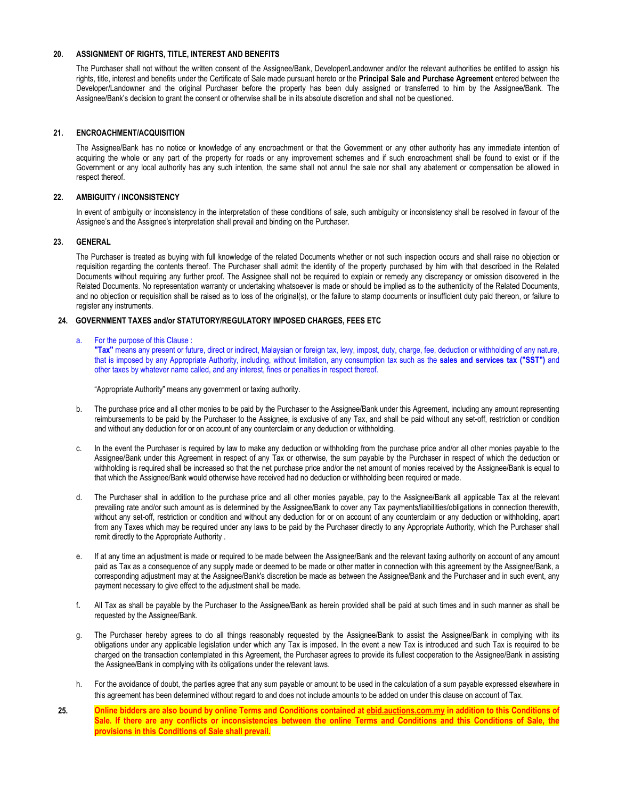#### **20. ASSIGNMENT OF RIGHTS, TITLE, INTEREST AND BENEFITS**

The Purchaser shall not without the written consent of the Assignee/Bank, Developer/Landowner and/or the relevant authorities be entitled to assign his rights, title, interest and benefits under the Certificate of Sale made pursuant hereto or the **Principal Sale and Purchase Agreement** entered between the Developer/Landowner and the original Purchaser before the property has been duly assigned or transferred to him by the Assignee/Bank. The Assignee/Bank's decision to grant the consent or otherwise shall be in its absolute discretion and shall not be questioned.

#### **21. ENCROACHMENT/ACQUISITION**

The Assignee/Bank has no notice or knowledge of any encroachment or that the Government or any other authority has any immediate intention of acquiring the whole or any part of the property for roads or any improvement schemes and if such encroachment shall be found to exist or if the Government or any local authority has any such intention, the same shall not annul the sale nor shall any abatement or compensation be allowed in respect thereof.

#### **22. AMBIGUITY / INCONSISTENCY**

In event of ambiguity or inconsistency in the interpretation of these conditions of sale, such ambiguity or inconsistency shall be resolved in favour of the Assignee's and the Assignee's interpretation shall prevail and binding on the Purchaser.

#### **23. GENERAL**

The Purchaser is treated as buying with full knowledge of the related Documents whether or not such inspection occurs and shall raise no objection or requisition regarding the contents thereof. The Purchaser shall admit the identity of the property purchased by him with that described in the Related Documents without requiring any further proof. The Assignee shall not be required to explain or remedy any discrepancy or omission discovered in the Related Documents. No representation warranty or undertaking whatsoever is made or should be implied as to the authenticity of the Related Documents, and no objection or requisition shall be raised as to loss of the original(s), or the failure to stamp documents or insufficient duty paid thereon, or failure to register any instruments.

#### **24. GOVERNMENT TAXES and/or STATUTORY/REGULATORY IMPOSED CHARGES, FEES ETC**

#### a. For the purpose of this Clause :

**"Tax"** means any present or future, direct or indirect, Malaysian or foreign tax, levy, impost, duty, charge, fee, deduction or withholding of any nature, that is imposed by any Appropriate Authority, including, without limitation, any consumption tax such as the **sales and services tax ("SST")** and other taxes by whatever name called, and any interest, fines or penalties in respect thereof.

"Appropriate Authority" means any government or taxing authority.

- b. The purchase price and all other monies to be paid by the Purchaser to the Assignee/Bank under this Agreement, including any amount representing reimbursements to be paid by the Purchaser to the Assignee, is exclusive of any Tax, and shall be paid without any set-off, restriction or condition and without any deduction for or on account of any counterclaim or any deduction or withholding.
- c. In the event the Purchaser is required by law to make any deduction or withholding from the purchase price and/or all other monies payable to the Assignee/Bank under this Agreement in respect of any Tax or otherwise, the sum payable by the Purchaser in respect of which the deduction or withholding is required shall be increased so that the net purchase price and/or the net amount of monies received by the Assignee/Bank is equal to that which the Assignee/Bank would otherwise have received had no deduction or withholding been required or made.
- d. The Purchaser shall in addition to the purchase price and all other monies payable, pay to the Assignee/Bank all applicable Tax at the relevant prevailing rate and/or such amount as is determined by the Assignee/Bank to cover any Tax payments/liabilities/obligations in connection therewith, without any set-off, restriction or condition and without any deduction for or on account of any counterclaim or any deduction or withholding, apart from any Taxes which may be required under any laws to be paid by the Purchaser directly to any Appropriate Authority, which the Purchaser shall remit directly to the Appropriate Authority .
- e. If at any time an adjustment is made or required to be made between the Assignee/Bank and the relevant taxing authority on account of any amount paid as Tax as a consequence of any supply made or deemed to be made or other matter in connection with this agreement by the Assignee/Bank, a corresponding adjustment may at the Assignee/Bank's discretion be made as between the Assignee/Bank and the Purchaser and in such event, any payment necessary to give effect to the adjustment shall be made.
- f**.** All Tax as shall be payable by the Purchaser to the Assignee/Bank as herein provided shall be paid at such times and in such manner as shall be requested by the Assignee/Bank.
- g. The Purchaser hereby agrees to do all things reasonably requested by the Assignee/Bank to assist the Assignee/Bank in complying with its obligations under any applicable legislation under which any Tax is imposed. In the event a new Tax is introduced and such Tax is required to be charged on the transaction contemplated in this Agreement, the Purchaser agrees to provide its fullest cooperation to the Assignee/Bank in assisting the Assignee/Bank in complying with its obligations under the relevant laws.
- h. For the avoidance of doubt, the parties agree that any sum payable or amount to be used in the calculation of a sum payable expressed elsewhere in this agreement has been determined without regard to and does not include amounts to be added on under this clause on account of Tax.
- **25. Online bidders are also bound by online Terms and Conditions contained at [ebid.auctions.com.my](http://www.ebid.auctions.com.my/) in addition to this Conditions of Sale. If there are any conflicts or inconsistencies between the online Terms and Conditions and this Conditions of Sale, the provisions in this Conditions of Sale shall prevail.**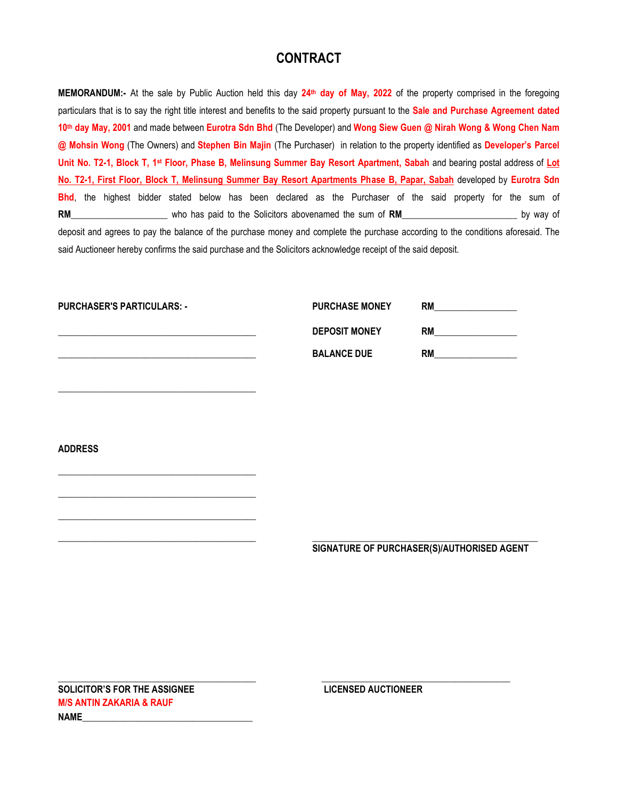# **CONTRACT**

**MEMORANDUM:-** At the sale by Public Auction held this day 24<sup>th</sup> day of May, 2022 of the property comprised in the foregoing particulars that is to say the right title interest and benefits to the said property pursuant to the **Sale and Purchase Agreement dated 10th day May, 2001** and made between **Eurotra Sdn Bhd** (The Developer) and **Wong Siew Guen @ Nirah Wong & Wong Chen Nam @ Mohsin Wong** (The Owners) and **Stephen Bin Majin** (The Purchaser) in relation to the property identified as **Developer's Parcel Unit No. T2-1, Block T, 1st Floor, Phase B, Melinsung Summer Bay Resort Apartment, Sabah** and bearing postal address of **Lot No. T2-1, First Floor, Block T, Melinsung Summer Bay Resort Apartments Phase B, Papar, Sabah** developed by **Eurotra Sdn Bhd**, the highest bidder stated below has been declared as the Purchaser of the said property for the sum of **RM\_\_\_\_\_\_\_\_\_\_\_\_\_\_\_\_\_\_\_\_\_** who has paid to the Solicitors abovenamed the sum of **RM\_\_\_\_\_\_\_\_\_\_\_\_\_\_\_\_\_\_\_\_\_\_\_\_\_** by way of deposit and agrees to pay the balance of the purchase money and complete the purchase according to the conditions aforesaid. The said Auctioneer hereby confirms the said purchase and the Solicitors acknowledge receipt of the said deposit.

| <b>PURCHASER'S PARTICULARS: -</b> | <b>PURCHASE MONEY</b> | RM        |
|-----------------------------------|-----------------------|-----------|
|                                   | <b>DEPOSIT MONEY</b>  | <b>RM</b> |
|                                   | <b>BALANCE DUE</b>    | <b>RM</b> |

**\_\_\_\_\_\_\_\_\_\_\_\_\_\_\_\_\_\_\_\_\_\_\_\_\_\_\_\_\_\_\_\_\_\_\_\_\_\_\_\_\_\_\_ \_\_\_\_\_\_\_\_\_\_\_\_\_\_\_\_\_\_\_\_\_\_\_\_\_\_\_\_\_\_\_\_\_\_\_\_\_\_\_\_\_**

**ADDRESS**

**\_\_\_\_\_\_\_\_\_\_\_\_\_\_\_\_\_\_\_\_\_\_\_\_\_\_\_\_\_\_\_\_\_\_\_\_\_\_\_\_\_\_\_**

**\_\_\_\_\_\_\_\_\_\_\_\_\_\_\_\_\_\_\_\_\_\_\_\_\_\_\_\_\_\_\_\_\_\_\_\_\_\_\_\_\_\_\_**

**\_\_\_\_\_\_\_\_\_\_\_\_\_\_\_\_\_\_\_\_\_\_\_\_\_\_\_\_\_\_\_\_\_\_\_\_\_\_\_\_\_\_\_**

**\_\_\_\_\_\_\_\_\_\_\_\_\_\_\_\_\_\_\_\_\_\_\_\_\_\_\_\_\_\_\_\_\_\_\_\_\_\_\_\_\_\_\_**

**\_\_\_\_\_\_\_\_\_\_\_\_\_\_\_\_\_\_\_\_\_\_\_\_\_\_\_\_\_\_\_\_\_\_\_\_\_\_\_\_\_\_\_ \_\_\_\_\_\_\_\_\_\_\_\_\_\_\_\_\_\_\_\_\_\_\_\_\_\_\_\_\_\_\_\_\_\_\_\_\_\_\_\_\_\_\_\_\_\_\_\_\_ SIGNATURE OF PURCHASER(S)/AUTHORISED AGENT**

**SOLICITOR'S FOR THE ASSIGNEE LICENSED AUCTIONEER M/S ANTIN ZAKARIA & RAUF**  NAME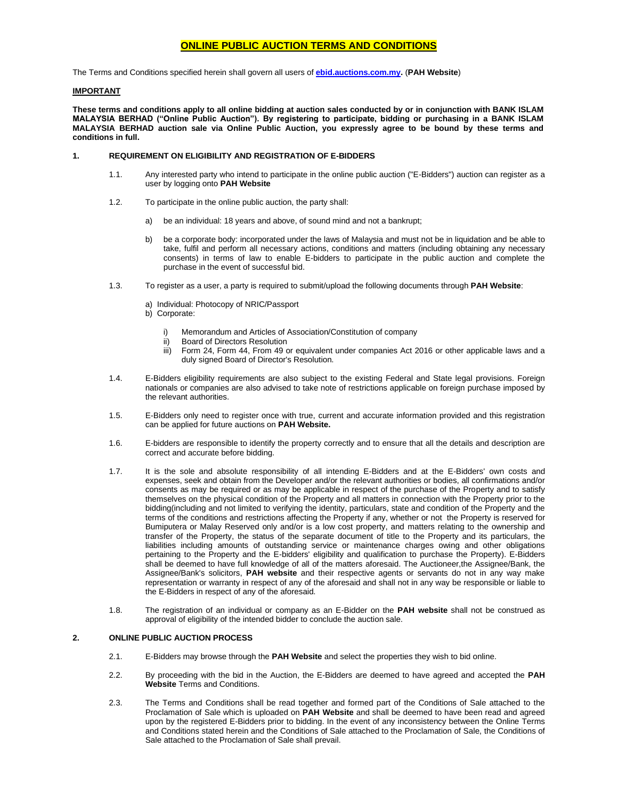# **ONLINE PUBLIC AUCTION TERMS AND CONDITIONS**

The Terms and Conditions specified herein shall govern all users of **[ebid.auctions.com.my.](http://www.auctions.com.my/)** (**PAH Website**)

#### **IMPORTANT**

**These terms and conditions apply to all online bidding at auction sales conducted by or in conjunction with BANK ISLAM MALAYSIA BERHAD ("Online Public Auction"). By registering to participate, bidding or purchasing in a BANK ISLAM MALAYSIA BERHAD auction sale via Online Public Auction, you expressly agree to be bound by these terms and conditions in full.**

#### **1. REQUIREMENT ON ELIGIBILITY AND REGISTRATION OF E-BIDDERS**

- 1.1. Any interested party who intend to participate in the online public auction ("E-Bidders") auction can register as a user by logging onto **PAH Website**
- 1.2. To participate in the online public auction, the party shall:
	- a) be an individual: 18 years and above, of sound mind and not a bankrupt;
	- b) be a corporate body: incorporated under the laws of Malaysia and must not be in liquidation and be able to take, fulfil and perform all necessary actions, conditions and matters (including obtaining any necessary consents) in terms of law to enable E-bidders to participate in the public auction and complete the purchase in the event of successful bid.
- 1.3. To register as a user, a party is required to submit/upload the following documents through **PAH Website**:
	- a) Individual: Photocopy of NRIC/Passport
	- b) Corporate:
		- Memorandum and Articles of Association/Constitution of company
		- ii) Board of Directors Resolution
		- iii) Form 24, Form 44, From 49 or equivalent under companies Act 2016 or other applicable laws and a duly signed Board of Director's Resolution.
- 1.4. E-Bidders eligibility requirements are also subject to the existing Federal and State legal provisions. Foreign nationals or companies are also advised to take note of restrictions applicable on foreign purchase imposed by the relevant authorities.
- 1.5. E-Bidders only need to register once with true, current and accurate information provided and this registration can be applied for future auctions on **PAH Website.**
- 1.6. E-bidders are responsible to identify the property correctly and to ensure that all the details and description are correct and accurate before bidding.
- 1.7. It is the sole and absolute responsibility of all intending E-Bidders and at the E-Bidders' own costs and expenses, seek and obtain from the Developer and/or the relevant authorities or bodies, all confirmations and/or consents as may be required or as may be applicable in respect of the purchase of the Property and to satisfy themselves on the physical condition of the Property and all matters in connection with the Property prior to the bidding(including and not limited to verifying the identity, particulars, state and condition of the Property and the terms of the conditions and restrictions affecting the Property if any, whether or not the Property is reserved for Bumiputera or Malay Reserved only and/or is a low cost property, and matters relating to the ownership and transfer of the Property, the status of the separate document of title to the Property and its particulars, the liabilities including amounts of outstanding service or maintenance charges owing and other obligations pertaining to the Property and the E-bidders' eligibility and qualification to purchase the Property). E-Bidders shall be deemed to have full knowledge of all of the matters aforesaid. The Auctioneer,the Assignee/Bank, the Assignee/Bank's solicitors, **PAH website** and their respective agents or servants do not in any way make representation or warranty in respect of any of the aforesaid and shall not in any way be responsible or liable to the E-Bidders in respect of any of the aforesaid.
- 1.8. The registration of an individual or company as an E-Bidder on the **PAH website** shall not be construed as approval of eligibility of the intended bidder to conclude the auction sale.

#### **2. ONLINE PUBLIC AUCTION PROCESS**

- 2.1. E-Bidders may browse through the **PAH Website** and select the properties they wish to bid online.
- 2.2. By proceeding with the bid in the Auction, the E-Bidders are deemed to have agreed and accepted the **PAH Website** Terms and Conditions.
- 2.3. The Terms and Conditions shall be read together and formed part of the Conditions of Sale attached to the Proclamation of Sale which is uploaded on **PAH Website** and shall be deemed to have been read and agreed upon by the registered E-Bidders prior to bidding. In the event of any inconsistency between the Online Terms and Conditions stated herein and the Conditions of Sale attached to the Proclamation of Sale, the Conditions of Sale attached to the Proclamation of Sale shall prevail.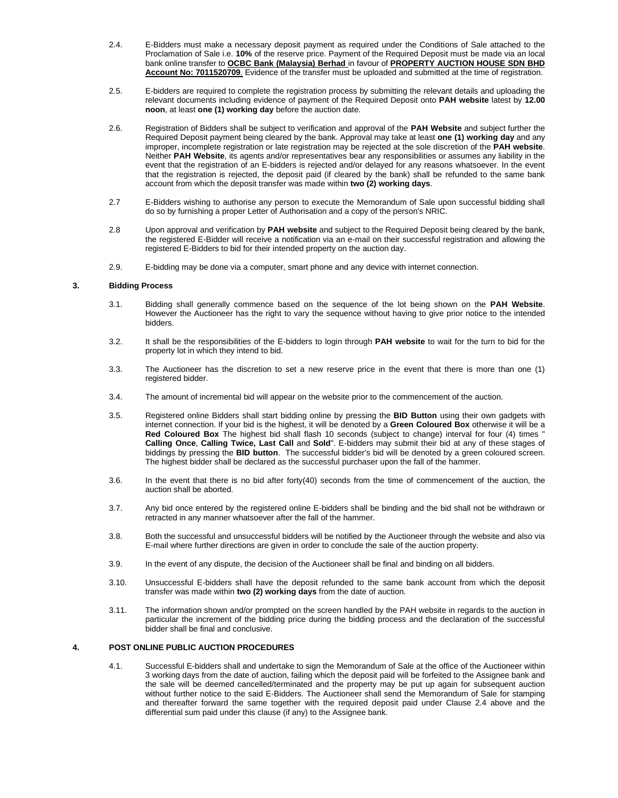- 2.4. E-Bidders must make a necessary deposit payment as required under the Conditions of Sale attached to the Proclamation of Sale i.e. **10%** of the reserve price. Payment of the Required Deposit must be made via an local bank online transfer to **OCBC Bank (Malaysia) Berhad** in favour of **PROPERTY AUCTION HOUSE SDN BHD Account No: 7011520709**. Evidence of the transfer must be uploaded and submitted at the time of registration.
- 2.5. E-bidders are required to complete the registration process by submitting the relevant details and uploading the relevant documents including evidence of payment of the Required Deposit onto **PAH website** latest by **12.00 noon**, at least **one (1) working day** before the auction date.
- 2.6. Registration of Bidders shall be subject to verification and approval of the **PAH Website** and subject further the Required Deposit payment being cleared by the bank. Approval may take at least **one (1) working day** and any improper, incomplete registration or late registration may be rejected at the sole discretion of the **PAH website**. Neither **PAH Website**, its agents and/or representatives bear any responsibilities or assumes any liability in the event that the registration of an E-bidders is rejected and/or delayed for any reasons whatsoever. In the event that the registration is rejected, the deposit paid (if cleared by the bank) shall be refunded to the same bank account from which the deposit transfer was made within **two (2) working days**.
- 2.7 E-Bidders wishing to authorise any person to execute the Memorandum of Sale upon successful bidding shall do so by furnishing a proper Letter of Authorisation and a copy of the person's NRIC.
- 2.8 Upon approval and verification by **PAH website** and subject to the Required Deposit being cleared by the bank, the registered E-Bidder will receive a notification via an e-mail on their successful registration and allowing the registered E-Bidders to bid for their intended property on the auction day.
- 2.9. E-bidding may be done via a computer, smart phone and any device with internet connection.

#### **3. Bidding Process**

- 3.1. Bidding shall generally commence based on the sequence of the lot being shown on the **PAH Website**. However the Auctioneer has the right to vary the sequence without having to give prior notice to the intended bidders.
- 3.2. It shall be the responsibilities of the E-bidders to login through **PAH website** to wait for the turn to bid for the property lot in which they intend to bid.
- 3.3. The Auctioneer has the discretion to set a new reserve price in the event that there is more than one (1) registered bidder.
- 3.4. The amount of incremental bid will appear on the website prior to the commencement of the auction.
- 3.5. Registered online Bidders shall start bidding online by pressing the **BID Button** using their own gadgets with internet connection. If your bid is the highest, it will be denoted by a **Green Coloured Box** otherwise it will be a **Red Coloured Box** The highest bid shall flash 10 seconds (subject to change) interval for four (4) times " **Calling Once**, **Calling Twice, Last Call** and **Sold**". E-bidders may submit their bid at any of these stages of biddings by pressing the **BID button**. The successful bidder's bid will be denoted by a green coloured screen. The highest bidder shall be declared as the successful purchaser upon the fall of the hammer.
- 3.6. In the event that there is no bid after forty(40) seconds from the time of commencement of the auction, the auction shall be aborted.
- 3.7. Any bid once entered by the registered online E-bidders shall be binding and the bid shall not be withdrawn or retracted in any manner whatsoever after the fall of the hammer.
- 3.8. Both the successful and unsuccessful bidders will be notified by the Auctioneer through the website and also via E-mail where further directions are given in order to conclude the sale of the auction property.
- 3.9. In the event of any dispute, the decision of the Auctioneer shall be final and binding on all bidders.
- 3.10. Unsuccessful E-bidders shall have the deposit refunded to the same bank account from which the deposit transfer was made within **two (2) working days** from the date of auction.
- 3.11. The information shown and/or prompted on the screen handled by the PAH website in regards to the auction in particular the increment of the bidding price during the bidding process and the declaration of the successful bidder shall be final and conclusive.

#### **4. POST ONLINE PUBLIC AUCTION PROCEDURES**

4.1. Successful E-bidders shall and undertake to sign the Memorandum of Sale at the office of the Auctioneer within 3 working days from the date of auction, failing which the deposit paid will be forfeited to the Assignee bank and the sale will be deemed cancelled/terminated and the property may be put up again for subsequent auction without further notice to the said E-Bidders. The Auctioneer shall send the Memorandum of Sale for stamping and thereafter forward the same together with the required deposit paid under Clause 2.4 above and the differential sum paid under this clause (if any) to the Assignee bank.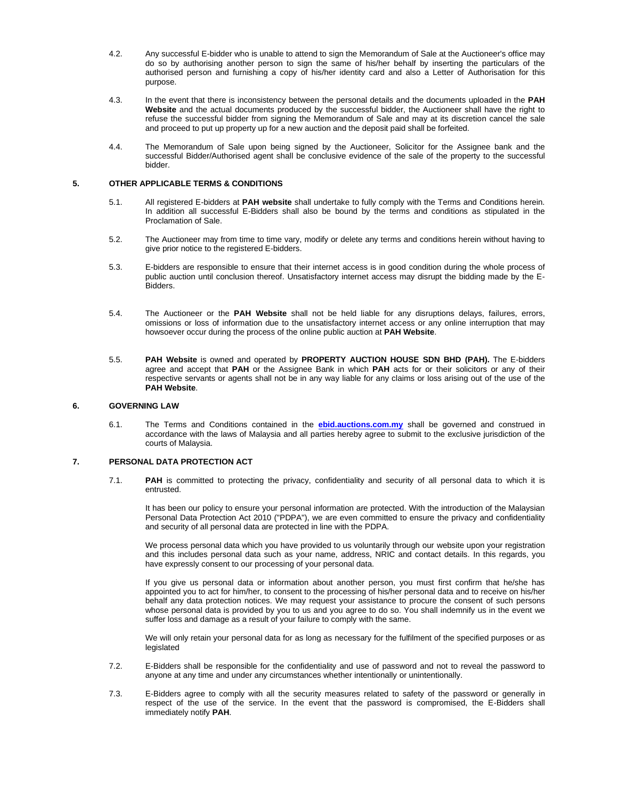- 4.2. Any successful E-bidder who is unable to attend to sign the Memorandum of Sale at the Auctioneer's office may do so by authorising another person to sign the same of his/her behalf by inserting the particulars of the authorised person and furnishing a copy of his/her identity card and also a Letter of Authorisation for this purpose.
- 4.3. In the event that there is inconsistency between the personal details and the documents uploaded in the **PAH Website** and the actual documents produced by the successful bidder, the Auctioneer shall have the right to refuse the successful bidder from signing the Memorandum of Sale and may at its discretion cancel the sale and proceed to put up property up for a new auction and the deposit paid shall be forfeited.
- 4.4. The Memorandum of Sale upon being signed by the Auctioneer, Solicitor for the Assignee bank and the successful Bidder/Authorised agent shall be conclusive evidence of the sale of the property to the successful bidder.

#### **5. OTHER APPLICABLE TERMS & CONDITIONS**

- 5.1. All registered E-bidders at **PAH website** shall undertake to fully comply with the Terms and Conditions herein. In addition all successful E-Bidders shall also be bound by the terms and conditions as stipulated in the Proclamation of Sale.
- 5.2. The Auctioneer may from time to time vary, modify or delete any terms and conditions herein without having to give prior notice to the registered E-bidders.
- 5.3. E-bidders are responsible to ensure that their internet access is in good condition during the whole process of public auction until conclusion thereof. Unsatisfactory internet access may disrupt the bidding made by the E-Bidders.
- 5.4. The Auctioneer or the **PAH Website** shall not be held liable for any disruptions delays, failures, errors, omissions or loss of information due to the unsatisfactory internet access or any online interruption that may howsoever occur during the process of the online public auction at **PAH Website**.
- 5.5. **PAH Website** is owned and operated by **PROPERTY AUCTION HOUSE SDN BHD (PAH).** The E-bidders agree and accept that **PAH** or the Assignee Bank in which **PAH** acts for or their solicitors or any of their respective servants or agents shall not be in any way liable for any claims or loss arising out of the use of the **PAH Website**.

#### **6. GOVERNING LAW**

6.1. The Terms and Conditions contained in the **[ebid.auctions.com.my](http://www.auctions.com.my/)** shall be governed and construed in accordance with the laws of Malaysia and all parties hereby agree to submit to the exclusive jurisdiction of the courts of Malaysia.

#### **7. PERSONAL DATA PROTECTION ACT**

7.1. **PAH** is committed to protecting the privacy, confidentiality and security of all personal data to which it is entrusted.

It has been our policy to ensure your personal information are protected. With the introduction of the Malaysian Personal Data Protection Act 2010 ("PDPA"), we are even committed to ensure the privacy and confidentiality and security of all personal data are protected in line with the PDPA.

We process personal data which you have provided to us voluntarily through our website upon your registration and this includes personal data such as your name, address, NRIC and contact details. In this regards, you have expressly consent to our processing of your personal data.

If you give us personal data or information about another person, you must first confirm that he/she has appointed you to act for him/her, to consent to the processing of his/her personal data and to receive on his/her behalf any data protection notices. We may request your assistance to procure the consent of such persons whose personal data is provided by you to us and you agree to do so. You shall indemnify us in the event we suffer loss and damage as a result of your failure to comply with the same.

We will only retain your personal data for as long as necessary for the fulfilment of the specified purposes or as legislated

- 7.2. E-Bidders shall be responsible for the confidentiality and use of password and not to reveal the password to anyone at any time and under any circumstances whether intentionally or unintentionally.
- 7.3. E-Bidders agree to comply with all the security measures related to safety of the password or generally in respect of the use of the service. In the event that the password is compromised, the E-Bidders shall immediately notify **PAH**.